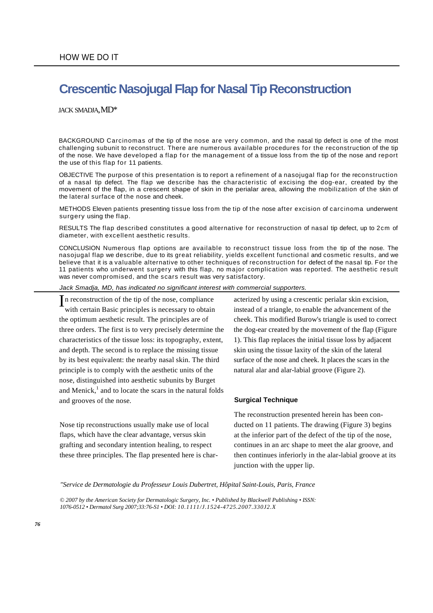# **Crescentic Nasojugal Flap for Nasal Tip Reconstruction**

JACK SMADJA,MD\*

BACKGROUND Carcinomas of the tip of the nose are very common, and the nasal tip defect is one of the most challenging subunit to reconstruct. There are numerous available procedures for the reconstruction of the tip of the nose. We have developed a flap for the management of a tissue loss from the tip of the nose and report the use of this flap for 11 patients.

OBJECTIVE The purpose of this presentation is to report a refinement of a nasojugal flap for the reconstruction of a nasal tip defect. The flap we describe has the characteristic of excising the dog-ear, created by the movement of the flap, in a crescent shape of skin in the perialar area, allowing the mobilization of the skin of the lateral surface of the nose and cheek.

METHODS Eleven patients presenting tissue loss from the tip of the nose after excision of carcinoma underwent surgery using the flap.

RESULTS The flap described constitutes a good alternative for reconstruction of nasal tip defect, up to 2cm of diameter, with excellent aesthetic results.

CONCLUSION Numerous flap options are available to reconstruct tissue loss from the tip of the nose. The nasojugal flap we describe, due to its great reliability, yields excellent functional and cosmetic results, and we believe that it is a valuable alternative to other techniques of reconstruction for defect of the nasal tip. For the 11 patients who underwent surgery with this flap, no major complication was reported. The aesthetic result was never compromised, and the scars result was very satisfactory.

Jack Smadja, MD, has indicated no significant interest with commercial supporters.

In reconstruction of the tip of the nose, compliance<br>with certain Basic principles is necessary to obtain with certain Basic principles is necessary to obtain the optimum aesthetic result. The principles are of three orders. The first is to very precisely determine the characteristics of the tissue loss: its topography, extent, and depth. The second is to replace the missing tissue by its best equivalent: the nearby nasal skin. The third principle is to comply with the aesthetic units of the nose, distinguished into aesthetic subunits by Burget and Menick, $<sup>1</sup>$  and to locate the scars in the natural folds</sup> and grooves of the nose.

Nose tip reconstructions usually make use of local flaps, which have the clear advantage, versus skin grafting and secondary intention healing, to respect these three principles. The flap presented here is characterized by using a crescentic perialar skin excision, instead of a triangle, to enable the advancement of the cheek. This modified Burow's triangle is used to correct the dog-ear created by the movement of the flap (Figure 1). This flap replaces the initial tissue loss by adjacent skin using the tissue laxity of the skin of the lateral surface of the nose and cheek. It places the scars in the natural alar and alar-labial groove (Figure 2).

#### **Surgical Technique**

The reconstruction presented herein has been conducted on 11 patients. The drawing (Figure 3) begins at the inferior part of the defect of the tip of the nose, continues in an arc shape to meet the alar groove, and then continues inferiorly in the alar-labial groove at its junction with the upper lip.

*"Service de Dermatologie du Professeur Louis Dubertret, Hôpital Saint-Louis, Paris, France*

*© 2007 by the American Society for Dermatologic Surgery, Inc. • Published by Blackwell Publishing • ISSN: 1076-0512 • Dermatol Surg 2007;33:76-S1* • *DOI: 10.1111/J.1524-4725.2007.330J2.X*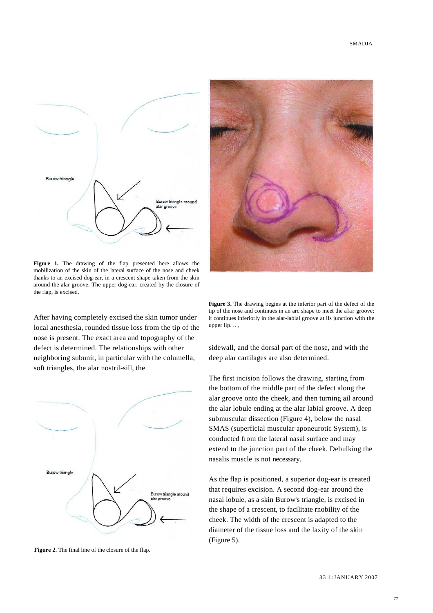

Figure 1. The drawing of the flap presented here allows the mobilization of the skin of the lateral surface of the nose and cheek thanks to an excised dog-ear, in a crescent shape taken from the skin around the alar groove. The upper dog-ear, created by the closure of the flap, is excised.

After having completely excised the skin tumor under local anesthesia, rounded tissue loss from the tip of the nose is present. The exact area and topography of the defect is determined. The relationships with other neighboring subunit, in particular with the columella, soft triangles, the alar nostril-sill, the



**Figure 2.** The final line of the closure of the flap.



**Figure 3.** The drawing begins at the inferior part of the defect of the tip of the nose and continues in an arc shape to meet the alar groove; it continues inferiorly in the alar-labial groove at ils junction with the upper lip. .. ,

sidewall, and the dorsal part of the nose, and with the deep alar cartilages are also determined.

The first incision follows the drawing, starting from the bottom of the middle part of the defect along the alar groove onto the cheek, and then turning ail around the alar lobule ending at the alar labial groove. A deep submuscular dissection (Figure 4), below the nasal SMAS (superficial muscular aponeurotic System), is conducted from the lateral nasal surface and may extend to the junction part of the cheek. Debulking the nasalis muscle is not necessary.

As the flap is positioned, a superior dog-ear is created that requires excision. A second dog-ear around the nasal lobule, as a skin Burow's triangle, is excised in the shape of a crescent, to facilitate rnobility of the cheek. The width of the crescent is adapted to the diameter of the tissue loss and the laxity of the skin (Figure 5).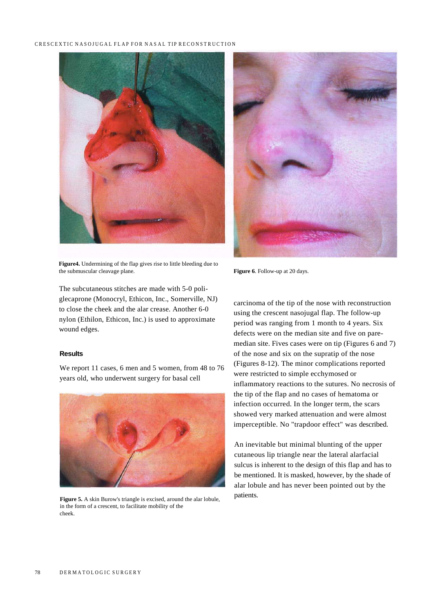#### CRESCEXTIC NASOJUGAL FLAP FOR NASAL TIP RECONSTRUCTION



**Figure4.** Undermining of the flap gives rise to little bleeding due to the submuscular cleavage plane.

The subcutaneous stitches are made with 5-0 poliglecaprone (Monocryl, Ethicon, Inc., Somerville, NJ) to close the cheek and the alar crease. Another 6-0 nylon (Ethilon, Ethicon, Inc.) is used to approximate wound edges.

## **Results**

We report 11 cases, 6 men and 5 women, from 48 to 76 years old, who underwent surgery for basal cell



**Figure 5.** A skin Burow's triangle is excised, around the alar lobule. in the form of a crescent, to facilitate mobility of the cheek.



**Figure 6**. Follow-up at 20 days.

carcinoma of the tip of the nose with reconstruction using the crescent nasojugal flap. The follow-up period was ranging from 1 month to 4 years. Six defects were on the median site and five on paremedian site. Fives cases were on tip (Figures 6 and 7) of the nose and six on the supratip of the nose (Figures 8-12). The minor complications reported were restricted to simple ecchymosed or inflammatory reactions to the sutures. No necrosis of the tip of the flap and no cases of hematoma or infection occurred. In the longer term, the scars showed very marked attenuation and were almost imperceptible. No "trapdoor effect" was described.

An inevitable but minimal blunting of the upper cutaneous lip triangle near the lateral alarfacial sulcus is inherent to the design of this flap and has to be mentioned. It is masked, however, by the shade of alar lobule and has never been pointed out by the patients.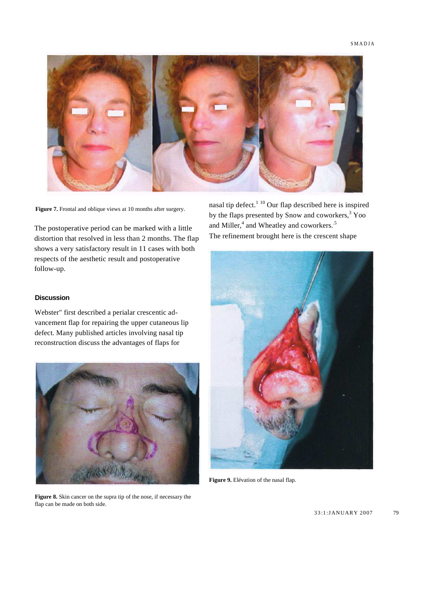

Figure 7. Frontal and oblique views at 10 months after surgery.

The postoperative period can be marked with a little distortion that resolved in less than 2 months. The flap shows a very satisfactory result in 11 cases with both respects of the aesthetic result and postoperative follow-up.

### **Discussion**

Webster" first described a perialar crescentic advancement flap for repairing the upper cutaneous lip defect. Many published articles involving nasal tip reconstruction discuss the advantages of flaps for



**Figure 8.** Skin cancer on the supra tip of the nose, if necessary the flap can be made on both side.

nasal tip defect. $1^{10}$  Our flap described here is inspired by the flaps presented by Snow and coworkers,<sup>3</sup> Yoo and Miller, $<sup>4</sup>$  and Wheatley and coworkers.<sup>5</sup></sup> The refinement brought here is the crescent shape



**Figure 9.** Elévation of the nasal flap.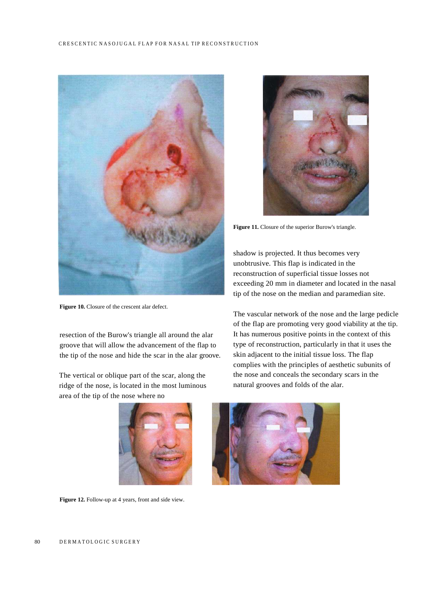## CRESCENTIC NASOJUGAL FLAP FOR NASAL TIP RECONSTRUCTION



Figure 10. Closure of the crescent alar defect.

resection of the Burow's triangle all around the alar groove that will allow the advancement of the flap to the tip of the nose and hide the scar in the alar groove.

The vertical or oblique part of the scar, along the ridge of the nose, is located in the most luminous area of the tip of the nose where no



**Figure 11.** Closure of the superior Burow's triangle.

shadow is projected. It thus becomes very unobtrusive. This flap is indicated in the reconstruction of superficial tissue losses not exceeding 20 mm in diameter and located in the nasal tip of the nose on the median and paramedian site.

The vascular network of the nose and the large pedicle of the flap are promoting very good viability at the tip. It has numerous positive points in the context of this type of reconstruction, particularly in that it uses the skin adjacent to the initial tissue loss. The flap complies with the principles of aesthetic subunits of the nose and conceals the secondary scars in the natural grooves and folds of the alar.



Figure 12. Follow-up at 4 years, front and side view.